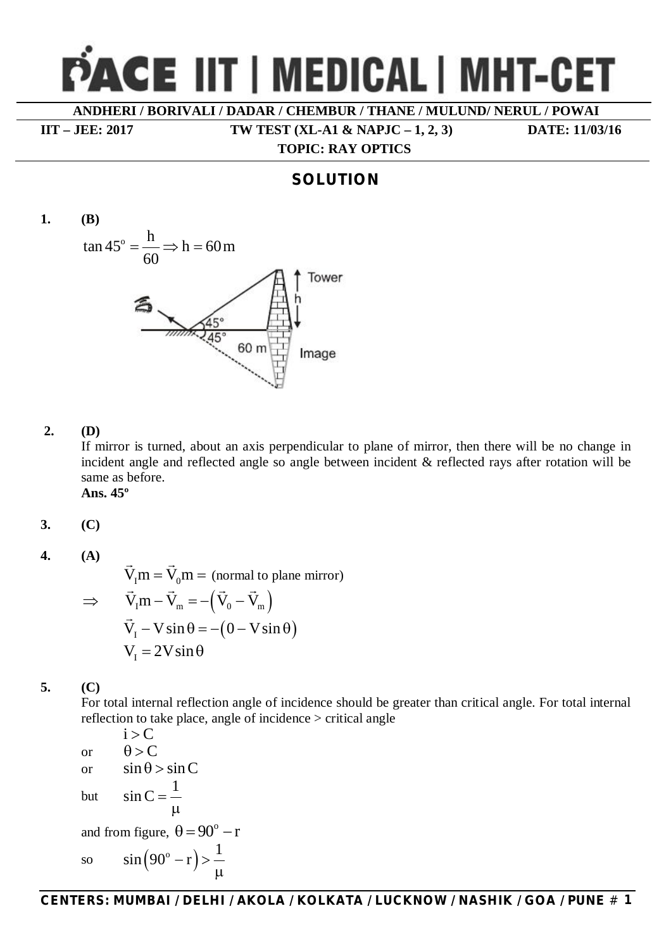# **CE IIT | MEDICAL | MHT-CET**

**ANDHERI / BORIVALI / DADAR / CHEMBUR / THANE / MULUND/ NERUL / POWAI**

 **TOPIC: RAY OPTICS**

**IIT – JEE: 2017 TW TEST (XL-A1 & NAPJC – 1, 2, 3) DATE: 11/03/16**

# **SOLUTION**



#### **2. (D)**

If mirror is turned, about an axis perpendicular to plane of mirror, then there will be no change in incident angle and reflected angle so angle between incident & reflected rays after rotation will be same as before.

**Ans. 45º**

$$
3. \hspace{1cm} (C)
$$

**4. (A)**

 $V_{I} m = V_{0} m = 0$  $\rightarrow$ (normal to plane mirror)  $\Rightarrow$  V<sub>I</sub>m – V<sub>m</sub> = –(V<sub>0</sub> – V<sub>m</sub>)  $\rightarrow$   $\rightarrow$   $\rightarrow$   $\rightarrow$  $V_I - V \sin \theta = -(0 - V \sin \theta)$  $\rightarrow$  $V<sub>r</sub> = 2V\sin\theta$ 

# **5. (C)**

For total internal reflection angle of incidence should be greater than critical angle. For total internal reflection to take place, angle of incidence > critical angle

 $i > C$ or  $\theta > C$ or  $\sin \theta > \sin C$ but 1  $\sin C =$  $\mu$ and from figure,  $\theta = 90^\circ - r$ so  $sin(90^\circ - r)$  $\sin(90^\circ - r) > \frac{1}{r}$  $\mu$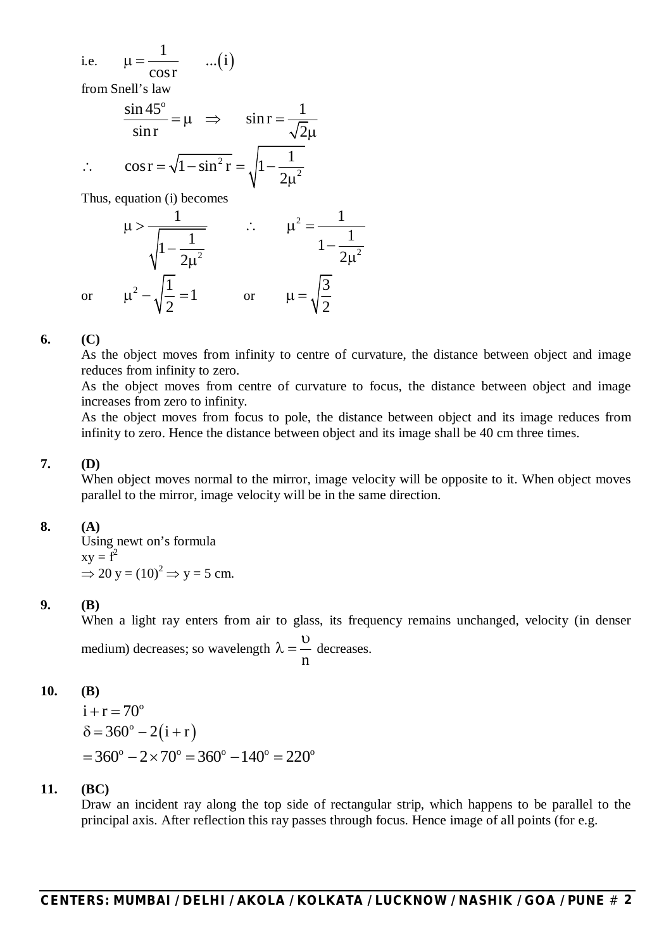i.e.  $\mu =$  ...(i) 1  $...(i)$ cosr  $\mu = -$ 

from Snell's law

$$
\frac{\sin 45^{\circ}}{\sin r} = \mu \implies \sin r = \frac{1}{\sqrt{2}\mu}
$$
  
 
$$
\therefore \cos r = \sqrt{1 - \sin^2 r} = \sqrt{1 - \frac{1}{2\mu^2}}
$$

Thus, equation (i) becomes

$$
\mu > \frac{1}{\sqrt{1 - \frac{1}{2\mu^{2}}}} \qquad \therefore \qquad \mu^{2} = \frac{1}{1 - \frac{1}{2\mu^{2}}}
$$

$$
\mu^{2} - \sqrt{\frac{1}{2}} = 1 \qquad \text{or} \qquad \mu = \sqrt{\frac{3}{2}}
$$

**6. (C)**

or

As the object moves from infinity to centre of curvature, the distance between object and image reduces from infinity to zero.

As the object moves from centre of curvature to focus, the distance between object and image increases from zero to infinity.

As the object moves from focus to pole, the distance between object and its image reduces from infinity to zero. Hence the distance between object and its image shall be 40 cm three times.

#### **7. (D)**

When object moves normal to the mirror, image velocity will be opposite to it. When object moves parallel to the mirror, image velocity will be in the same direction.

#### **8. (A)**

Using newt on's formula  $xy = f^2$  $\Rightarrow$  20 y = (10)<sup>2</sup>  $\Rightarrow$  y = 5 cm.

### **9. (B)**

When a light ray enters from air to glass, its frequency remains unchanged, velocity (in denser medium) decreases; so wavelength n  $\cup$  $\lambda = -$  decreases.

### **10. (B)**

$$
i + r = 70^{\circ}
$$
  
\n
$$
\delta = 360^{\circ} - 2(i + r)
$$
  
\n
$$
= 360^{\circ} - 2 \times 70^{\circ} = 360^{\circ} - 140^{\circ} = 220^{\circ}
$$

### **11. (BC)**

Draw an incident ray along the top side of rectangular strip, which happens to be parallel to the principal axis. After reflection this ray passes through focus. Hence image of all points (for e.g.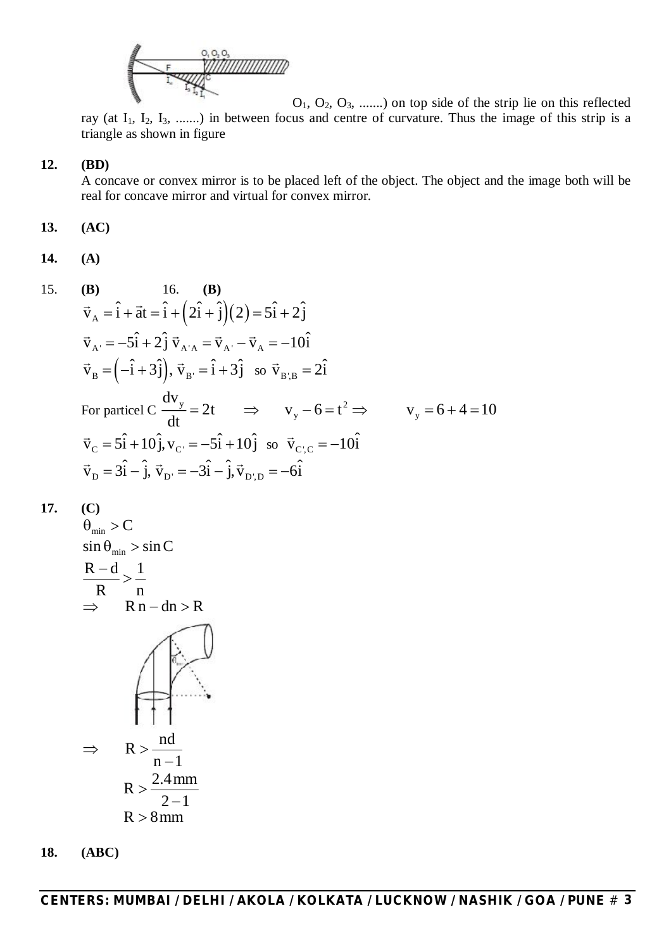

O1, O2, O3, .......) on top side of the strip lie on this reflected ray (at  $I_1$ ,  $I_2$ ,  $I_3$ , .......) in between focus and centre of curvature. Thus the image of this strip is a triangle as shown in figure

#### **12. (BD)**

A concave or convex mirror is to be placed left of the object. The object and the image both will be real for concave mirror and virtual for convex mirror.

**13. (AC)**

**14. (A)**

15. **(B)** 16. **(B)**

$$
\vec{v}_A = \hat{i} + \vec{a}\hat{t} = \hat{i} + (2\hat{i} + \hat{j})(2) = 5\hat{i} + 2\hat{j}
$$
\n
$$
\vec{v}_{A'} = -5\hat{i} + 2\hat{j}\vec{v}_{A'A} = \vec{v}_{A'} - \vec{v}_{A} = -10\hat{i}
$$
\n
$$
\vec{v}_B = (-\hat{i} + 3\hat{j}), \vec{v}_B = \hat{i} + 3\hat{j} \text{ so } \vec{v}_{B'B} = 2\hat{i}
$$
\nFor particle C  $\frac{dv_y}{dt} = 2t \implies v_y - 6 = t^2 \implies v_y = 6 + 4 = 10$ \n
$$
\vec{v}_C = 5\hat{i} + 10\hat{j}, v_{C'} = -5\hat{i} + 10\hat{j} \text{ so } \vec{v}_{C'C} = -10\hat{i}
$$
\n
$$
\vec{v}_D = 3\hat{i} - \hat{j}, \vec{v}_{D'} = -3\hat{i} - \hat{j}, \vec{v}_{D'D} = -6\hat{i}
$$

**17. (C)**

$$
\theta_{\min} > C
$$
\n
$$
\sin \theta_{\min} > \sin C
$$
\n
$$
\frac{R - d}{R} > \frac{1}{n}
$$
\n
$$
\Rightarrow \quad Rn - dn > R
$$
\n
$$
\Rightarrow \quad R > \frac{nd}{n - 1}
$$
\n
$$
R > \frac{2.4 \text{ mm}}{2 - 1}
$$
\n
$$
R > 8 \text{ mm}
$$

**18. (ABC)**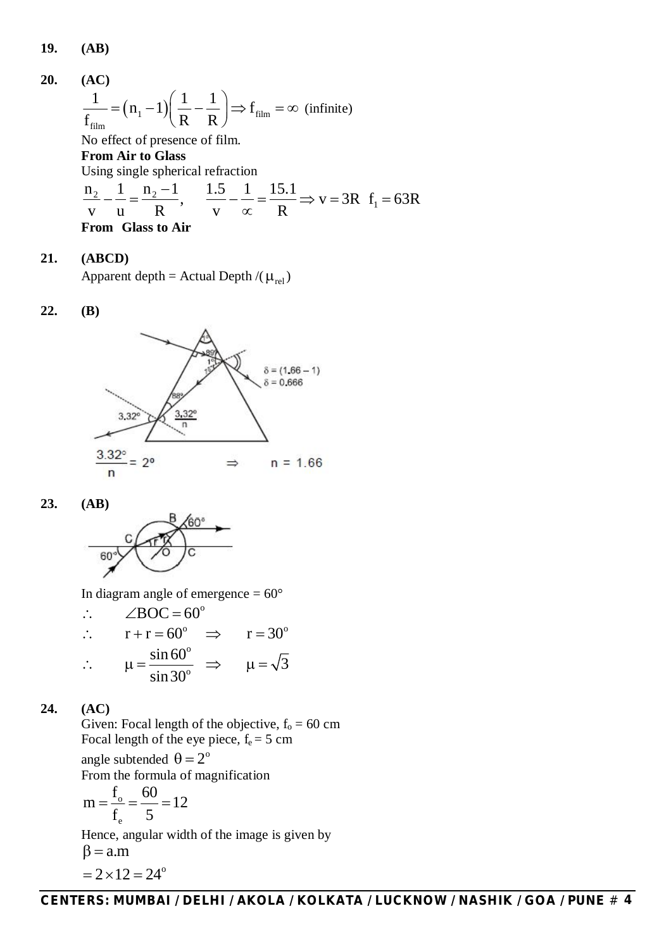**19. (AB)**

**20. (AC)**  $\left(n_i-1\right)\left|\frac{1}{\mathbf{D}}-\frac{1}{\mathbf{D}}\right|\Rightarrow\mathbf{f}_{\text{film}}$ film  $\frac{1}{\epsilon} = (n_1 - 1) \left( \frac{1}{n_1} - \frac{1}{n_2} \right) \Rightarrow f_{\text{fi}}$  $f_{\text{film}}$   $($   $\vert$   $)$   $\langle$  R R  $=(n_1-1)\left(\frac{1}{R}-\frac{1}{R}\right) \Rightarrow f_{\text{film}} = \infty$  (infinite) No effect of presence of film. **From Air to Glass** Using single spherical refraction  $\frac{2}{2} - \frac{1}{2} - \frac{n_2 - ...}{n_2}$ 

 $\frac{n_2}{v_1} - \frac{1}{v_2} = \frac{n_2 - 1}{R}$ ,  $\frac{1.5}{v_1} - \frac{1}{r_2} = \frac{15.1}{R}$   $\Rightarrow v = 3R$   $f_1 = 63R$ v u R v  $\propto$  R  $\frac{1}{2} - \frac{1}{2} = \frac{12}{2}$ ,  $\frac{1.5}{2} - \frac{1}{2} = \frac{15.1}{2} \Rightarrow v = 3R$  f<sub>1</sub> = 6  $\infty$ **From Glass to Air**

#### **21. (ABCD)**

Apparent depth = Actual Depth /( $\mu_{rel}$ )

#### **22. (B)**



**23. (AB)**



In diagram angle of emergence  $= 60^{\circ}$ 

$$
\therefore \angle BOC = 60^{\circ}
$$
  
\n
$$
\therefore \quad r + r = 60^{\circ} \implies \quad r = 30^{\circ}
$$
  
\n
$$
\therefore \quad \mu = \frac{\sin 60^{\circ}}{\sin 30^{\circ}} \implies \quad \mu = \sqrt{3}
$$

# **24. (AC)**

Given: Focal length of the objective,  $f_0 = 60$  cm Focal length of the eye piece,  $f_e = 5$  cm angle subtended  $\theta = 2^{\circ}$ From the formula of magnification o  $m = \frac{f_{o}}{f} = \frac{60}{5} = 12$  $f_e$  5  $=\frac{1}{c}=\frac{00}{7}=1$ 

Hence, angular width of the image is given by  
\n
$$
\beta = a.m
$$
\n
$$
= 2 \times 12 = 24^{\circ}
$$